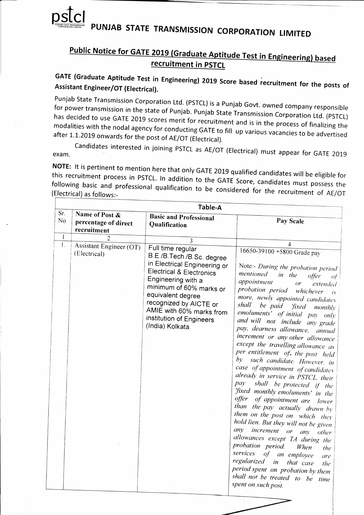

# PUNJAB STATE TRANSMISSION CORPORATION LIMITED

# Public Notice for GATE 2019 (Graduate Aptitude Test in Engineering) based recruitment in PSTCL

GATE (Graduate Aptitude Test in Engineering) 2019 Score based recruitment for the posts of Assistant Engineer/OT (Electrical).

Punjab State Transmission Corporation Ltd. (PSTCL) is a Punjab Govt. owned company responsible for power transmission in the state of Punjab. Punjab State Transmission Corporation Ltd. (PSTCL) has decided to use GATE 2019 scores merit for recruitment and is in the process of finalizing the modalities with the nodal agency for conducting GATE to fill up various vacancies to be advertised after 1.1.2019 onwards for the post of AE/OT (Electrical).

Candidates interested in joining PSTCL as AE/OT (Electrical) must appear for GATE 2019 exam.

NOTE: It is pertinent to mention here that only GATE 2019 qualified candidates will be eligible for this recruitment process in PSTCL. In addition to the GATE Score, candidates must possess the following basic and professional qualification to be considered for the recruitment of AE/OT (Electrical) as follows:-

|              | Table-A                                               |                                                                                                                                                                                                                                                                                                   |                                                                                                                                                                                                                                                                                                                                                                                                                                                                                                                                                                                                                                                                                                                                                                                                                                                                                                                                                                                                                                                                                                                                             |  |  |  |
|--------------|-------------------------------------------------------|---------------------------------------------------------------------------------------------------------------------------------------------------------------------------------------------------------------------------------------------------------------------------------------------------|---------------------------------------------------------------------------------------------------------------------------------------------------------------------------------------------------------------------------------------------------------------------------------------------------------------------------------------------------------------------------------------------------------------------------------------------------------------------------------------------------------------------------------------------------------------------------------------------------------------------------------------------------------------------------------------------------------------------------------------------------------------------------------------------------------------------------------------------------------------------------------------------------------------------------------------------------------------------------------------------------------------------------------------------------------------------------------------------------------------------------------------------|--|--|--|
| Sr.<br>No    | Name of Post &<br>percentage of direct<br>recruitment | <b>Basic and Professional</b><br>Qualification                                                                                                                                                                                                                                                    | Pay Scale                                                                                                                                                                                                                                                                                                                                                                                                                                                                                                                                                                                                                                                                                                                                                                                                                                                                                                                                                                                                                                                                                                                                   |  |  |  |
| $\mathbf{1}$ | 2                                                     | $\overline{\mathbf{3}}$                                                                                                                                                                                                                                                                           |                                                                                                                                                                                                                                                                                                                                                                                                                                                                                                                                                                                                                                                                                                                                                                                                                                                                                                                                                                                                                                                                                                                                             |  |  |  |
| 1.           | Assistant Engineer (OT)<br>(Electrical)               | Full time regular<br>B.E./B.Tech./B.Sc. degree<br>in Electrical Engineering or<br><b>Electrical &amp; Electronics</b><br>Engineering with a<br>minimum of 60% marks or<br>equivalent degree<br>recognized by AICTE or<br>AMIE with 60% marks from<br>institution of Engineers<br>(India) Kolkata. | 4<br>16650-39100 +5800 Grade pay<br>Note:- During the probation period<br>mentioned<br>in the<br>offer<br>of<br>appointment<br>or<br>extended<br>probation period whichever<br>$-1s^{-1}$<br>more, newly appointed candidates<br>shall<br>be paid<br>'fixed<br>$month\triangleright$<br>emoluments' of initial pay only<br>and will not include any grade<br>pay, dearness allowance, annual<br>increment or any other allowance<br>except the travelling allowance as<br>per entitlement of. the post held<br>by such candidate. However, in<br>case of appointment of candidates<br>already in service in PSTCL, their<br>pay<br>shall be protected if the<br>'fixed monthly emoluments' in the<br>offer of appointment are lower<br>than the pay actually drawn by<br>them on the post on which they<br>hold lien. But they will not be given<br>any<br>increment or<br>any other<br>allowances except TA during the<br>probation period.<br>When<br>the<br>services<br>of<br>an employee<br>are<br>regularized<br>in<br>that case<br>the<br>period spent on probation by them<br>shall not be treated to be time<br>spent on such post. |  |  |  |